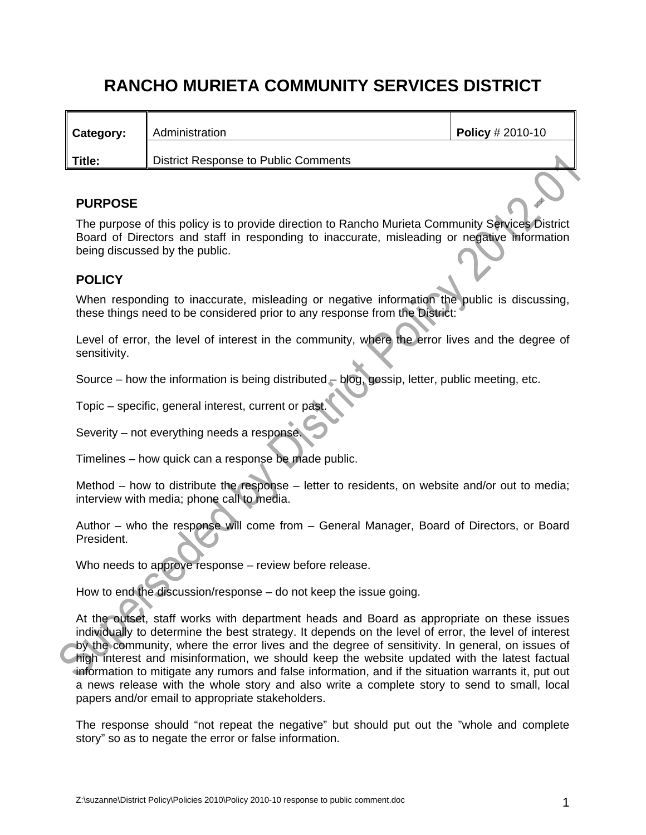# **RANCHO MURIETA COMMUNITY SERVICES DISTRICT**

| Category: | Administration                       | <b>Policy</b> # 2010-10 |  |
|-----------|--------------------------------------|-------------------------|--|
| Title:    | District Response to Public Comments |                         |  |

## **PURPOSE**

The purpose of this policy is to provide direction to Rancho Murieta Community Services District Board of Directors and staff in responding to inaccurate, misleading or negative information being discussed by the public.

### **POLICY**

When responding to inaccurate, misleading or negative information the public is discussing, these things need to be considered prior to any response from the District:

Level of error, the level of interest in the community, where the error lives and the degree of sensitivity.

Source – how the information is being distributed – blog, gossip, letter, public meeting, etc.

Topic – specific, general interest, current or past.

Severity – not everything needs a response.

Timelines – how quick can a response be made public.

Method – how to distribute the response – letter to residents, on website and/or out to media; interview with media; phone call to media.

Author – who the response will come from – General Manager, Board of Directors, or Board President.

Who needs to approve response – review before release.

How to end the discussion/response – do not keep the issue going.

At the outset, staff works with department heads and Board as appropriate on these issues individually to determine the best strategy. It depends on the level of error, the level of interest by the community, where the error lives and the degree of sensitivity. In general, on issues of high interest and misinformation, we should keep the website updated with the latest factual information to mitigate any rumors and false information, and if the situation warrants it, put out a news release with the whole story and also write a complete story to send to small, local papers and/or email to appropriate stakeholders.

The response should "not repeat the negative" but should put out the "whole and complete story" so as to negate the error or false information.